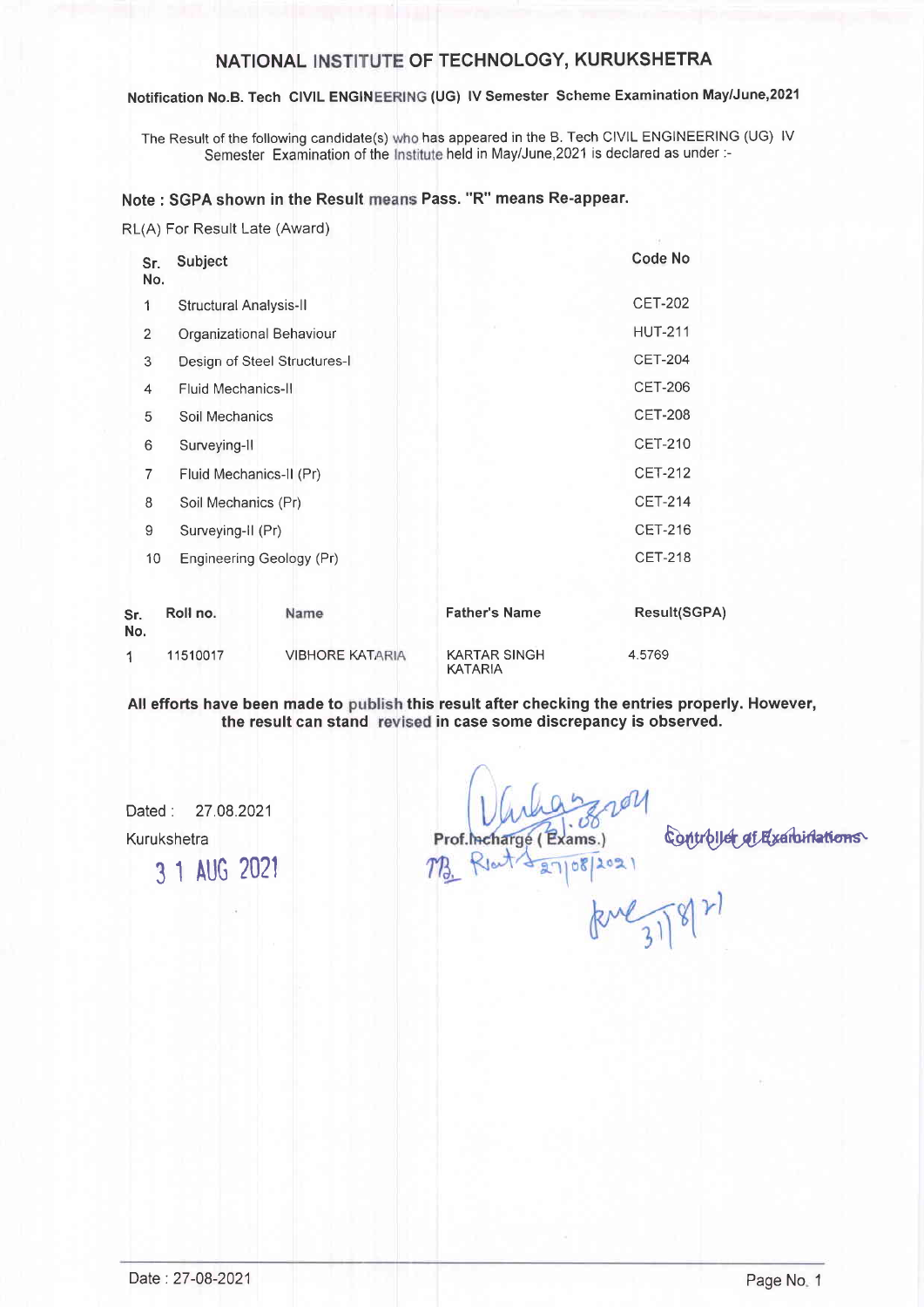## NATIONAL INSTITUTE OF TECHNOLOGY, KURUKSHETRA

#### Notification No.B. Tech CIVIL ENGINEERING (UG) IV Semester Scheme Examination May/June,2021

The Result of the following candidate(s) who has appeared in the B. Tech CIVIL ENGINEERING (UG) IV Semester Examination of the Institute held in May/June,2021 is declared as under :-

## Note : SGPA shown in the Result means Pass. "R" means Re-appear.

RL(A) For Result Late (Award)

| Sr.<br>No.     | Subject                      |                          |                                       | <b>Code No</b> |
|----------------|------------------------------|--------------------------|---------------------------------------|----------------|
| 1              | Structural Analysis-II       |                          |                                       | <b>CET-202</b> |
| $\overline{2}$ |                              | Organizational Behaviour |                                       | <b>HUT-211</b> |
| 3              | Design of Steel Structures-I |                          |                                       | <b>CET-204</b> |
| 4              | <b>Fluid Mechanics-II</b>    |                          |                                       | <b>CET-206</b> |
| 5              | Soil Mechanics               |                          |                                       | <b>CET-208</b> |
| 6              | Surveying-II                 |                          |                                       | <b>CET-210</b> |
| $\overline{7}$ | Fluid Mechanics-II (Pr)      |                          |                                       | <b>CET-212</b> |
| 8              | Soil Mechanics (Pr)          |                          |                                       | <b>CET-214</b> |
| 9              | Surveying-II (Pr)            |                          |                                       | <b>CET-216</b> |
| 10             |                              | Engineering Geology (Pr) |                                       |                |
| Sr.<br>No.     | Roll no.                     | Name                     | <b>Father's Name</b>                  | Result(SGPA)   |
| 1              | 11510017                     | <b>VIBHORE KATARIA</b>   | <b>KARTAR SINGH</b><br><b>KATARIA</b> | 4.5769         |

All efforts have been made to publish this result after checking the entries properly. However, the result can stand revised in case some discrepancy is observed.

Dated : 27.08.2021 Kurukshetra

3 1 AUG <sup>2021</sup>

of. hcharge (Exams.) 08/2021

Controller at Examinations